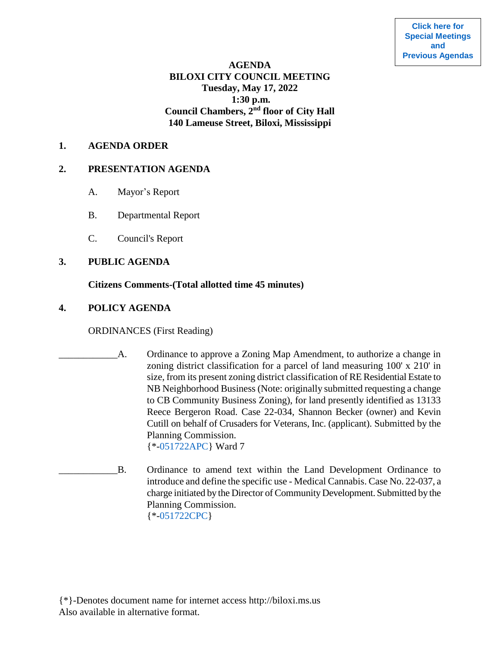**[Click here for](https://www.biloxi.ms.us/category/agendas-city-council/) [Special Meetings](https://www.biloxi.ms.us/category/agendas-city-council/) [and](https://www.biloxi.ms.us/category/agendas-city-council/) [Previous Agendas](https://www.biloxi.ms.us/category/agendas-city-council/)**

# **AGENDA BILOXI CITY COUNCIL MEETING Tuesday, May 17, 2022 1:30 p.m. Council Chambers, 2nd floor of City Hall 140 Lameuse Street, Biloxi, Mississippi**

#### **1. AGENDA ORDER**

#### **2. PRESENTATION AGENDA**

- A. Mayor's Report
- B. Departmental Report
- C. Council's Report

### **3. PUBLIC AGENDA**

### **Citizens Comments-(Total allotted time 45 minutes)**

### **4. POLICY AGENDA**

ORDINANCES (First Reading)

- A. Ordinance to approve a Zoning Map Amendment, to authorize a change in zoning district classification for a parcel of land measuring 100' x 210' in size, from its present zoning district classification of RE Residential Estate to NB Neighborhood Business (Note: originally submitted requesting a change to CB Community Business Zoning), for land presently identified as 13133 Reece Bergeron Road. Case 22-034, Shannon Becker (owner) and Kevin Cutill on behalf of Crusaders for Veterans, Inc. (applicant). Submitted by the Planning Commission. {\*[-051722APC}](https://www.biloxi.ms.us/agendas/citycouncil/2022/051722/051722apc.pdf) Ward 7
- \_\_\_\_\_\_\_\_\_\_\_\_B. Ordinance to amend text within the Land Development Ordinance to introduce and define the specific use - Medical Cannabis. Case No. 22-037, a charge initiated by the Director of Community Development. Submitted by the Planning Commission. {\*[-051722CPC}](https://www.biloxi.ms.us/agendas/citycouncil/2022/051722/051722cpc.pdf)

{\*}-Denotes document name for internet access http://biloxi.ms.us Also available in alternative format.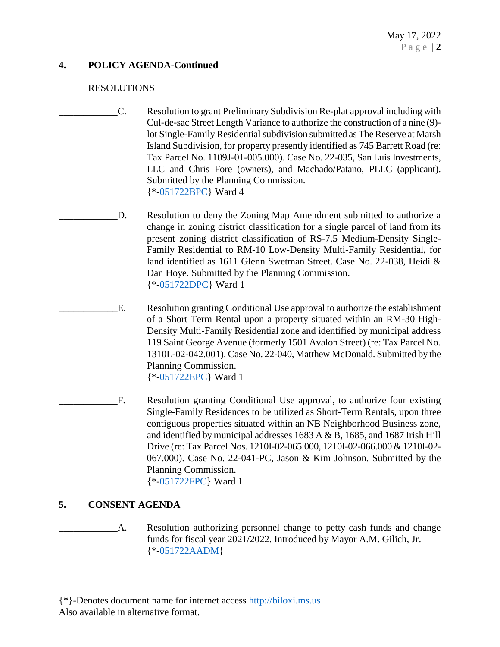# **4. POLICY AGENDA-Continued**

### RESOLUTIONS

- \_\_\_\_\_\_\_\_\_\_\_\_C. Resolution to grant Preliminary Subdivision Re-plat approval including with Cul-de-sac Street Length Variance to authorize the construction of a nine (9) lot Single-Family Residential subdivision submitted as The Reserve at Marsh Island Subdivision, for property presently identified as 745 Barrett Road (re: Tax Parcel No. 1109J-01-005.000). Case No. 22-035, San Luis Investments, LLC and Chris Fore (owners), and Machado/Patano, PLLC (applicant). Submitted by the Planning Commission. {\*[-051722BPC}](https://www.biloxi.ms.us/agendas/citycouncil/2022/051722/051722bpc.pdf) Ward 4
	- D. Resolution to deny the Zoning Map Amendment submitted to authorize a change in zoning district classification for a single parcel of land from its present zoning district classification of RS-7.5 Medium-Density Single-Family Residential to RM-10 Low-Density Multi-Family Residential, for land identified as 1611 Glenn Swetman Street. Case No. 22-038, Heidi & Dan Hoye. Submitted by the Planning Commission. {\*[-051722DPC}](https://www.biloxi.ms.us/agendas/citycouncil/2022/051722/051722dpc.pdf) Ward 1
- \_\_\_\_\_\_\_\_\_\_\_\_E. Resolution granting Conditional Use approval to authorize the establishment of a Short Term Rental upon a property situated within an RM-30 High-Density Multi-Family Residential zone and identified by municipal address 119 Saint George Avenue (formerly 1501 Avalon Street) (re: Tax Parcel No. 1310L-02-042.001). Case No. 22-040, Matthew McDonald. Submitted by the Planning Commission. {\*[-051722EPC}](https://www.biloxi.ms.us/agendas/citycouncil/2022/051722/051722epc.pdf) Ward 1
- F. Resolution granting Conditional Use approval, to authorize four existing Single-Family Residences to be utilized as Short-Term Rentals, upon three contiguous properties situated within an NB Neighborhood Business zone, and identified by municipal addresses 1683 A & B, 1685, and 1687 Irish Hill Drive (re: Tax Parcel Nos. 1210I-02-065.000, 1210I-02-066.000 & 1210I-02- 067.000). Case No. 22-041-PC, Jason & Kim Johnson. Submitted by the Planning Commission. {\*[-051722FPC}](https://www.biloxi.ms.us/agendas/citycouncil/2022/051722/051722fpc.pdf) Ward 1

## **5. CONSENT AGENDA**

A. Resolution authorizing personnel change to petty cash funds and change funds for fiscal year 2021/2022. Introduced by Mayor A.M. Gilich, Jr. {\*[-051722AADM}](https://www.biloxi.ms.us/agendas/citycouncil/2022/051722/051722aadm.pdf)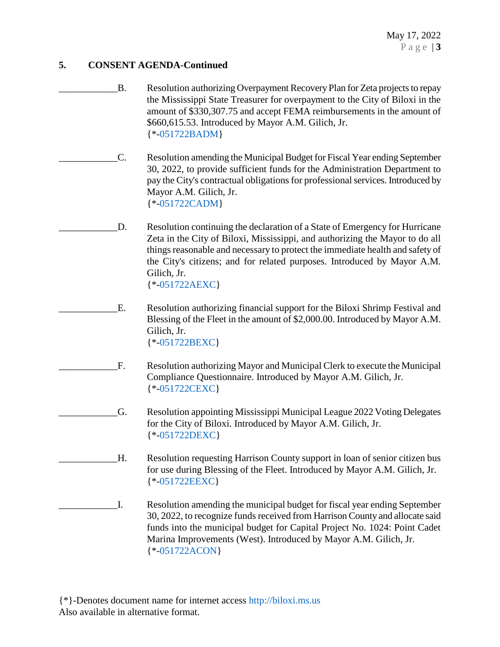- B. Resolution authorizing Overpayment Recovery Plan for Zeta projects to repay the Mississippi State Treasurer for overpayment to the City of Biloxi in the amount of \$330,307.75 and accept FEMA reimbursements in the amount of \$660,615.53. Introduced by Mayor A.M. Gilich, Jr. {\*[-051722BADM}](https://www.biloxi.ms.us/agendas/citycouncil/2022/051722/051722badm.pdf)
- \_\_\_\_\_\_\_\_\_\_\_\_C. Resolution amending the Municipal Budget for Fiscal Year ending September 30, 2022, to provide sufficient funds for the Administration Department to pay the City's contractual obligations for professional services. Introduced by Mayor A.M. Gilich, Jr. {\*[-051722CADM}](https://www.biloxi.ms.us/agendas/citycouncil/2022/051722/051722cadm.pdf)
- D. Resolution continuing the declaration of a State of Emergency for Hurricane Zeta in the City of Biloxi, Mississippi, and authorizing the Mayor to do all things reasonable and necessary to protect the immediate health and safety of the City's citizens; and for related purposes. Introduced by Mayor A.M. Gilich, Jr. {\*[-051722AEXC}](https://www.biloxi.ms.us/agendas/citycouncil/2022/051722/051722aexc.pdf)
- E. Resolution authorizing financial support for the Biloxi Shrimp Festival and Blessing of the Fleet in the amount of \$2,000.00. Introduced by Mayor A.M. Gilich, Jr. {\*[-051722BEXC}](https://www.biloxi.ms.us/agendas/citycouncil/2022/051722/051722bexc.pdf)
- F. Resolution authorizing Mayor and Municipal Clerk to execute the Municipal Compliance Questionnaire. Introduced by Mayor A.M. Gilich, Jr. {\*[-051722CEXC}](https://www.biloxi.ms.us/agendas/citycouncil/2022/051722/051722cexc.pdf)

\_\_\_\_\_\_\_\_\_\_\_\_G. Resolution appointing Mississippi Municipal League 2022 Voting Delegates for the City of Biloxi. Introduced by Mayor A.M. Gilich, Jr. {\*[-051722DEXC}](https://www.biloxi.ms.us/agendas/citycouncil/2022/051722/051722dexc.pdf)

\_\_\_\_\_\_\_\_\_\_\_\_H. Resolution requesting Harrison County support in loan of senior citizen bus for use during Blessing of the Fleet. Introduced by Mayor A.M. Gilich, Jr. {\*[-051722EEXC}](https://www.biloxi.ms.us/agendas/citycouncil/2022/051722/051722eexc.pdf)

\_\_\_\_\_\_\_\_\_\_\_\_I. Resolution amending the municipal budget for fiscal year ending September 30, 2022, to recognize funds received from Harrison County and allocate said funds into the municipal budget for Capital Project No. 1024: Point Cadet Marina Improvements (West). Introduced by Mayor A.M. Gilich, Jr. {\*[-051722ACON}](https://www.biloxi.ms.us/agendas/citycouncil/2022/051722/051722acon.pdf)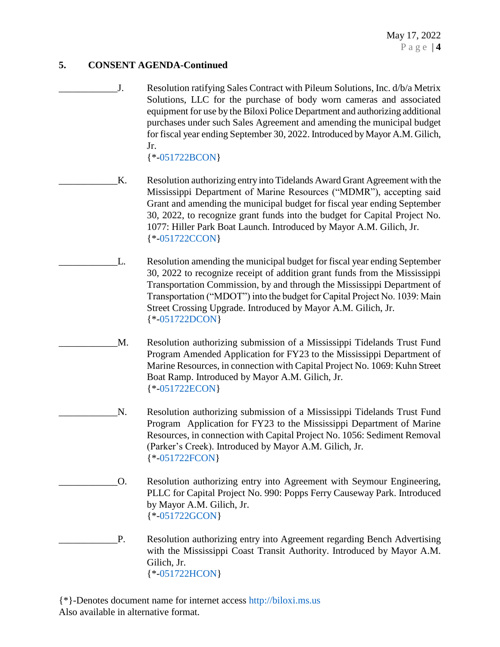May 17, 2022 P a g e | **4**

## **5. CONSENT AGENDA-Continued**

\_\_\_\_\_\_\_\_\_\_\_\_J. Resolution ratifying Sales Contract with Pileum Solutions, Inc. d/b/a Metrix Solutions, LLC for the purchase of body worn cameras and associated equipment for use by the Biloxi Police Department and authorizing additional purchases under such Sales Agreement and amending the municipal budget for fiscal year ending September 30, 2022. Introduced by Mayor A.M. Gilich, Jr.

{\*[-051722BCON}](https://www.biloxi.ms.us/agendas/citycouncil/2022/051722/051722bcon.pdf)

- \_\_\_\_\_\_\_\_\_\_\_\_K. Resolution authorizing entry into Tidelands Award Grant Agreement with the Mississippi Department of Marine Resources ("MDMR"), accepting said Grant and amending the municipal budget for fiscal year ending September 30, 2022, to recognize grant funds into the budget for Capital Project No. 1077: Hiller Park Boat Launch. Introduced by Mayor A.M. Gilich, Jr. {\*[-051722CCON}](https://www.biloxi.ms.us/agendas/citycouncil/2022/051722/051722ccon.pdf)
	- L. Resolution amending the municipal budget for fiscal year ending September 30, 2022 to recognize receipt of addition grant funds from the Mississippi Transportation Commission, by and through the Mississippi Department of Transportation ("MDOT") into the budget for Capital Project No. 1039: Main Street Crossing Upgrade. Introduced by Mayor A.M. Gilich, Jr. {\*[-051722DCON}](https://www.biloxi.ms.us/agendas/citycouncil/2022/051722/051722dcon.pdf)
		- M. Resolution authorizing submission of a Mississippi Tidelands Trust Fund Program Amended Application for FY23 to the Mississippi Department of Marine Resources, in connection with Capital Project No. 1069: Kuhn Street Boat Ramp. Introduced by Mayor A.M. Gilich, Jr. {\*[-051722ECON}](https://www.biloxi.ms.us/agendas/citycouncil/2022/051722/051722econ.pdf)
		- N. Resolution authorizing submission of a Mississippi Tidelands Trust Fund Program Application for FY23 to the Mississippi Department of Marine Resources, in connection with Capital Project No. 1056: Sediment Removal (Parker's Creek). Introduced by Mayor A.M. Gilich, Jr. {\*[-051722FCON}](https://www.biloxi.ms.us/agendas/citycouncil/2022/051722/051722fcon.pdf)
			- \_\_\_\_\_\_\_\_\_\_\_\_O. Resolution authorizing entry into Agreement with Seymour Engineering, PLLC for Capital Project No. 990: Popps Ferry Causeway Park. Introduced by Mayor A.M. Gilich, Jr. {\*[-051722GCON}](https://www.biloxi.ms.us/agendas/citycouncil/2022/051722/051722gcon.pdf)
- P. Resolution authorizing entry into Agreement regarding Bench Advertising with the Mississippi Coast Transit Authority. Introduced by Mayor A.M. Gilich, Jr. {\*[-051722HCON}](https://www.biloxi.ms.us/agendas/citycouncil/2022/051722/051722hcon.pdf)

{\*}-Denotes document name for internet access [http://biloxi.ms.us](http://biloxi.ms.us/) Also available in alternative format.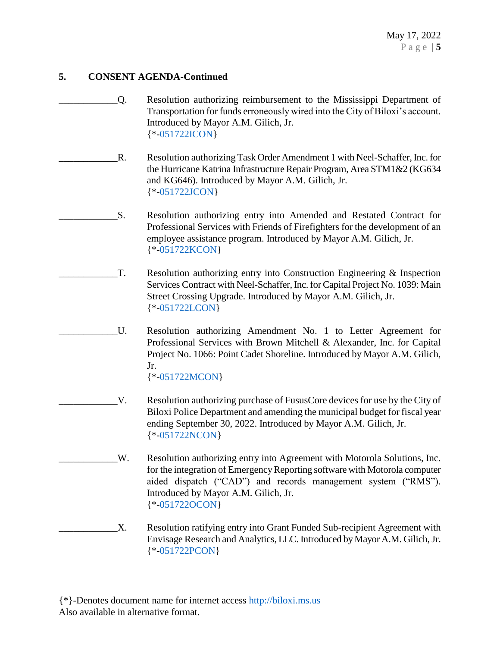- \_\_\_\_\_\_\_\_\_\_\_\_Q. Resolution authorizing reimbursement to the Mississippi Department of Transportation for funds erroneously wired into the City of Biloxi's account. Introduced by Mayor A.M. Gilich, Jr. {\*[-051722ICON}](https://www.biloxi.ms.us/agendas/citycouncil/2022/051722/051722icon.pdf)
- R. Resolution authorizing Task Order Amendment 1 with Neel-Schaffer, Inc. for the Hurricane Katrina Infrastructure Repair Program, Area STM1&2 (KG634 and KG646). Introduced by Mayor A.M. Gilich, Jr. {\*[-051722JCON}](https://www.biloxi.ms.us/agendas/citycouncil/2022/051722/051722jcon.pdf)
	- \_\_\_\_\_\_\_\_\_\_\_\_S. Resolution authorizing entry into Amended and Restated Contract for Professional Services with Friends of Firefighters for the development of an employee assistance program. Introduced by Mayor A.M. Gilich, Jr. {\*[-051722KCON}](https://www.biloxi.ms.us/agendas/citycouncil/2022/051722/051722kcon.pdf)
- $T.$  Resolution authorizing entry into Construction Engineering  $\&$  Inspection Services Contract with Neel-Schaffer, Inc. for Capital Project No. 1039: Main Street Crossing Upgrade. Introduced by Mayor A.M. Gilich, Jr. {\*[-051722LCON}](https://www.biloxi.ms.us/agendas/citycouncil/2022/051722/051722lcon.pdf)
	- \_\_\_\_\_\_\_\_\_\_\_\_U. Resolution authorizing Amendment No. 1 to Letter Agreement for Professional Services with Brown Mitchell & Alexander, Inc. for Capital Project No. 1066: Point Cadet Shoreline. Introduced by Mayor A.M. Gilich, Jr. {\*[-051722MCON}](https://www.biloxi.ms.us/agendas/citycouncil/2022/051722/051722mcon.pdf)
	- V. Resolution authorizing purchase of FususCore devices for use by the City of Biloxi Police Department and amending the municipal budget for fiscal year ending September 30, 2022. Introduced by Mayor A.M. Gilich, Jr. {\*[-051722NCON}](https://www.biloxi.ms.us/agendas/citycouncil/2022/051722/051722ncon.pdf)
- \_\_\_\_\_\_\_\_\_\_\_\_W. Resolution authorizing entry into Agreement with Motorola Solutions, Inc. for the integration of Emergency Reporting software with Motorola computer aided dispatch ("CAD") and records management system ("RMS"). Introduced by Mayor A.M. Gilich, Jr. {\*[-051722OCON}](https://www.biloxi.ms.us/agendas/citycouncil/2022/051722/051722ocon.pdf)
- X. Resolution ratifying entry into Grant Funded Sub-recipient Agreement with Envisage Research and Analytics, LLC. Introduced by Mayor A.M. Gilich, Jr. {\*[-051722PCON}](https://www.biloxi.ms.us/agendas/citycouncil/2022/051722/051722pcon.pdf)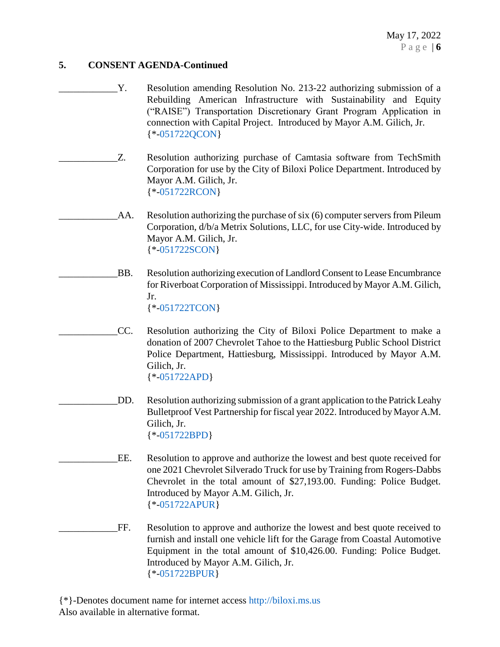- \_\_\_\_\_\_\_\_\_\_\_\_Y. Resolution amending Resolution No. 213-22 authorizing submission of a Rebuilding American Infrastructure with Sustainability and Equity ("RAISE") Transportation Discretionary Grant Program Application in connection with Capital Project. Introduced by Mayor A.M. Gilich, Jr. {\*[-051722QCON}](https://www.biloxi.ms.us/agendas/citycouncil/2022/051722/051722qcon.pdf)
- Z. Resolution authorizing purchase of Camtasia software from TechSmith Corporation for use by the City of Biloxi Police Department. Introduced by Mayor A.M. Gilich, Jr. {\*[-051722RCON}](https://www.biloxi.ms.us/agendas/citycouncil/2022/051722/051722rcon.pdf)
	- AA. Resolution authorizing the purchase of six (6) computer servers from Pileum Corporation, d/b/a Metrix Solutions, LLC, for use City-wide. Introduced by Mayor A.M. Gilich, Jr. {\*[-051722SCON}](https://www.biloxi.ms.us/agendas/citycouncil/2022/051722/051722scon.pdf)
- \_\_\_\_\_\_\_\_\_\_\_\_BB. Resolution authorizing execution of Landlord Consent to Lease Encumbrance for Riverboat Corporation of Mississippi. Introduced by Mayor A.M. Gilich, Jr. {\*[-051722TCON}](https://www.biloxi.ms.us/agendas/citycouncil/2022/051722/051722tcon.pdf)
	- \_\_\_\_\_\_\_\_\_\_\_\_CC. Resolution authorizing the City of Biloxi Police Department to make a donation of 2007 Chevrolet Tahoe to the Hattiesburg Public School District Police Department, Hattiesburg, Mississippi. Introduced by Mayor A.M. Gilich, Jr. {\*[-051722APD}](https://www.biloxi.ms.us/agendas/citycouncil/2022/051722/051722apd.pdf)
	- \_\_\_\_\_\_\_\_\_\_\_\_DD. Resolution authorizing submission of a grant application to the Patrick Leahy Bulletproof Vest Partnership for fiscal year 2022. Introduced by Mayor A.M. Gilich, Jr. {\*[-051722BPD}](https://www.biloxi.ms.us/agendas/citycouncil/2022/051722/051722bpd.pdf)
- EE. Resolution to approve and authorize the lowest and best quote received for one 2021 Chevrolet Silverado Truck for use by Training from Rogers-Dabbs Chevrolet in the total amount of \$27,193.00. Funding: Police Budget. Introduced by Mayor A.M. Gilich, Jr. {\*[-051722APUR}](https://www.biloxi.ms.us/agendas/citycouncil/2022/051722/051722apur.pdf)
- \_\_\_\_\_\_\_\_\_\_\_\_FF. Resolution to approve and authorize the lowest and best quote received to furnish and install one vehicle lift for the Garage from Coastal Automotive Equipment in the total amount of \$10,426.00. Funding: Police Budget. Introduced by Mayor A.M. Gilich, Jr. {\*[-051722BPUR}](https://www.biloxi.ms.us/agendas/citycouncil/2022/051722/051722bpur.pdf)

{\*}-Denotes document name for internet access [http://biloxi.ms.us](http://biloxi.ms.us/) Also available in alternative format.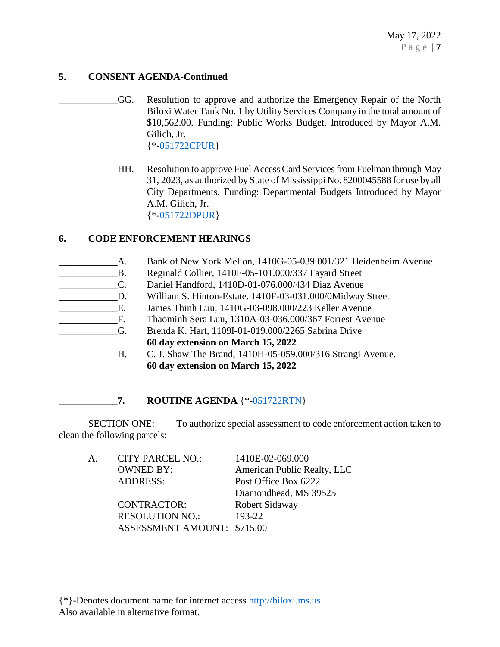\_\_\_\_\_\_\_\_\_\_\_\_GG. Resolution to approve and authorize the Emergency Repair of the North Biloxi Water Tank No. 1 by Utility Services Company in the total amount of \$10,562.00. Funding: Public Works Budget. Introduced by Mayor A.M. Gilich, Jr. {\*[-051722CPUR}](https://www.biloxi.ms.us/agendas/citycouncil/2022/051722/051722cpur.pdf)

\_\_\_\_\_\_\_\_\_\_\_\_HH. Resolution to approve Fuel Access Card Services from Fuelman through May 31, 2023, as authorized by State of Mississippi No. 8200045588 for use by all City Departments. Funding: Departmental Budgets Introduced by Mayor A.M. Gilich, Jr. {\*[-051722DPUR}](https://www.biloxi.ms.us/agendas/citycouncil/2022/051722/051722dpur.pdf)

# **6. CODE ENFORCEMENT HEARINGS**

| <b>B.</b> |
|-----------|
| C.        |
| D.        |
| E.        |
| F.        |
| G.        |
|           |

Bank of New York Mellon, 1410G-05-039.001/321 Heidenheim Avenue Reginald Collier, 1410F-05-101.000/337 Fayard Street \_\_\_\_\_\_\_\_\_\_\_\_C. Daniel Handford, 1410D-01-076.000/434 Diaz Avenue William S. Hinton-Estate. 1410F-03-031.000/0Midway Street \_\_\_\_\_\_\_\_\_\_\_\_E. James Thinh Luu, 1410G-03-098.000/223 Keller Avenue \_\_\_\_\_\_\_\_\_\_\_\_F. Thaominh Sera Luu, 1310A-03-036.000/367 Forrest Avenue \_\_\_\_\_\_\_\_\_\_\_\_G. Brenda K. Hart, 1109I-01-019.000/2265 Sabrina Drive **60 day extension on March 15, 2022** \_\_\_\_\_\_\_\_\_\_\_\_H. C. J. Shaw The Brand, 1410H-05-059.000/316 Strangi Avenue. **60 day extension on March 15, 2022**

# **\_\_\_\_\_\_\_\_\_\_\_\_7. ROUTINE AGENDA** {\*[-051722RTN}](https://www.biloxi.ms.us/agendas/citycouncil/2022/051722/051722rtn.pdf)

SECTION ONE: To authorize special assessment to code enforcement action taken to clean the following parcels:

A. CITY PARCEL NO.: 1410E-02-069.000 OWNED BY: American Public Realty, LLC ADDRESS: Post Office Box 6222 Diamondhead, MS 39525 CONTRACTOR: Robert Sidaway RESOLUTION NO.: 193-22 ASSESSMENT AMOUNT: \$715.00

{\*}-Denotes document name for internet access [http://biloxi.ms.us](http://biloxi.ms.us/) Also available in alternative format.